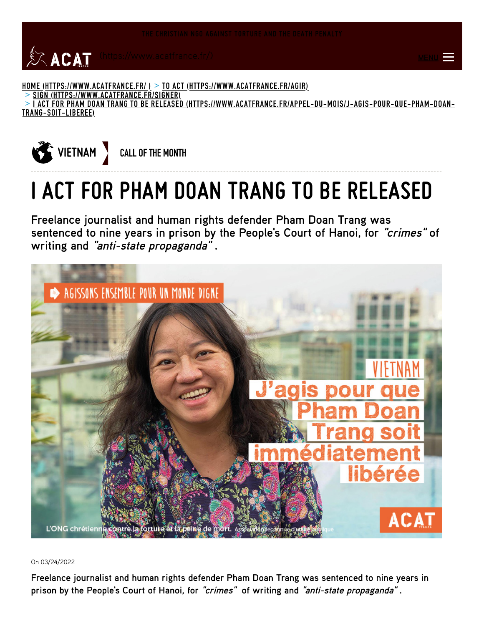

<u>HOME [\(HTTPS://WWW.ACATFRANCE.FR/](https://www.acatfrance.fr/) ) > TO ACT [\(HTTPS://WWW.ACATFRANCE.FR/AGIR\)](https://www.acatfrance.fr/agir)</u>

SIGN [\(HTTPS://WWW.ACATFRANCE.FR/SIGNER\)](https://www.acatfrance.fr/signer) >

I ACT FOR PHAM DOAN TRANG TO BE RELEASED [\(HTTPS://WWW.ACATFRANCE.FR/APPEL-DU-MOIS/J-AGIS-POUR-QUE-PHAM-DOAN-](https://www.acatfrance.fr/appel-du-mois/j-agis-pour-que-pham-doan-trang-soit-liberee)> TRANG-SOIT-LIBEREE)



## **I ACT FOR PHAM DOAN TRANG TO BE RELEASED**

**Freelance journalist and human rights defender Pham Doan Trang was sentenced to nine years in prison by the People's Court of Hanoi, for "crimes" of writing and "anti-state propaganda" .**



On 03/24/2022

**Freelance journalist and human rights defender Pham Doan Trang was sentenced to nine years in prison by the People's Court of Hanoi, for "crimes" of writing and "anti-state propaganda" .**